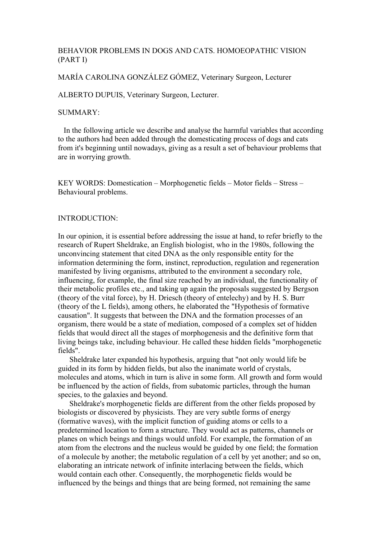## BEHAVIOR PROBLEMS IN DOGS AND CATS. HOMOEOPATHIC VISION (PART I)

MARÍA CAROLINA GONZÁLEZ GÓMEZ, Veterinary Surgeon, Lecturer

ALBERTO DUPUIS, Veterinary Surgeon, Lecturer.

#### SUMMARY:

 In the following article we describe and analyse the harmful variables that according to the authors had been added through the domesticating process of dogs and cats from it's beginning until nowadays, giving as a result a set of behaviour problems that are in worrying growth.

KEY WORDS: Domestication – Morphogenetic fields – Motor fields – Stress – Behavioural problems.

### INTRODUCTION:

In our opinion, it is essential before addressing the issue at hand, to refer briefly to the research of Rupert Sheldrake, an English biologist, who in the 1980s, following the unconvincing statement that cited DNA as the only responsible entity for the information determining the form, instinct, reproduction, regulation and regeneration manifested by living organisms, attributed to the environment a secondary role, influencing, for example, the final size reached by an individual, the functionality of their metabolic profiles etc., and taking up again the proposals suggested by Bergson (theory of the vital force), by H. Driesch (theory of entelechy) and by H. S. Burr (theory of the L fields), among others, he elaborated the "Hypothesis of formative causation". It suggests that between the DNA and the formation processes of an organism, there would be a state of mediation, composed of a complex set of hidden fields that would direct all the stages of morphogenesis and the definitive form that living beings take, including behaviour. He called these hidden fields "morphogenetic fields".

 Sheldrake later expanded his hypothesis, arguing that "not only would life be guided in its form by hidden fields, but also the inanimate world of crystals, molecules and atoms, which in turn is alive in some form. All growth and form would be influenced by the action of fields, from subatomic particles, through the human species, to the galaxies and beyond.

 Sheldrake's morphogenetic fields are different from the other fields proposed by biologists or discovered by physicists. They are very subtle forms of energy (formative waves), with the implicit function of guiding atoms or cells to a predetermined location to form a structure. They would act as patterns, channels or planes on which beings and things would unfold. For example, the formation of an atom from the electrons and the nucleus would be guided by one field; the formation of a molecule by another; the metabolic regulation of a cell by yet another; and so on, elaborating an intricate network of infinite interlacing between the fields, which would contain each other. Consequently, the morphogenetic fields would be influenced by the beings and things that are being formed, not remaining the same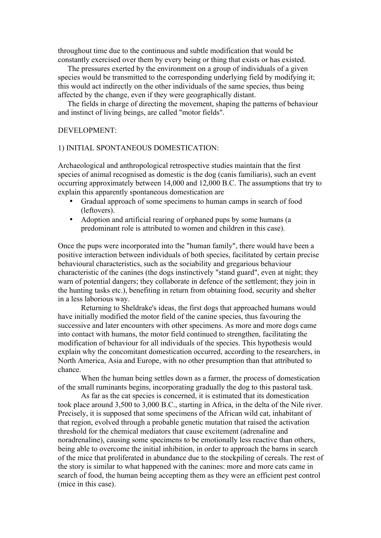throughout time due to the continuous and subtle modification that would be constantly exercised over them by every being or thing that exists or has existed.

 The pressures exerted by the environment on a group of individuals of a given species would be transmitted to the corresponding underlying field by modifying it; this would act indirectly on the other individuals of the same species, thus being affected by the change, even if they were geographically distant.

 The fields in charge of directing the movement, shaping the patterns of behaviour and instinct of living beings, are called "motor fields".

#### DEVELOPMENT:

#### 1) INITIAL SPONTANEOUS DOMESTICATION:

Archaeological and anthropological retrospective studies maintain that the first species of animal recognised as domestic is the dog (canis familiaris), such an event occurring approximately between 14,000 and 12,000 B.C. The assumptions that try to explain this apparently spontaneous domestication are

- Gradual approach of some specimens to human camps in search of food (leftovers).
- Adoption and artificial rearing of orphaned pups by some humans (a predominant role is attributed to women and children in this case).

Once the pups were incorporated into the "human family", there would have been a positive interaction between individuals of both species, facilitated by certain precise behavioural characteristics, such as the sociability and gregarious behaviour characteristic of the canines (the dogs instinctively "stand guard", even at night; they warn of potential dangers; they collaborate in defence of the settlement; they join in the hunting tasks etc.), benefiting in return from obtaining food, security and shelter in a less laborious way.

Returning to Sheldrake's ideas, the first dogs that approached humans would have initially modified the motor field of the canine species, thus favouring the successive and later encounters with other specimens. As more and more dogs came into contact with humans, the motor field continued to strengthen, facilitating the modification of behaviour for all individuals of the species. This hypothesis would explain why the concomitant domestication occurred, according to the researchers, in North America, Asia and Europe, with no other presumption than that attributed to chance.

When the human being settles down as a farmer, the process of domestication of the small ruminants begins, incorporating gradually the dog to this pastoral task.

As far as the cat species is concerned, it is estimated that its domestication took place around 3,500 to 3,000 B.C., starting in Africa, in the delta of the Nile river. Precisely, it is supposed that some specimens of the African wild cat, inhabitant of that region, evolved through a probable genetic mutation that raised the activation threshold for the chemical mediators that cause excitement (adrenaline and noradrenaline), causing some specimens to be emotionally less reactive than others, being able to overcome the initial inhibition, in order to approach the barns in search of the mice that proliferated in abundance due to the stockpiling of cereals. The rest of the story is similar to what happened with the canines: more and more cats came in search of food, the human being accepting them as they were an efficient pest control (mice in this case).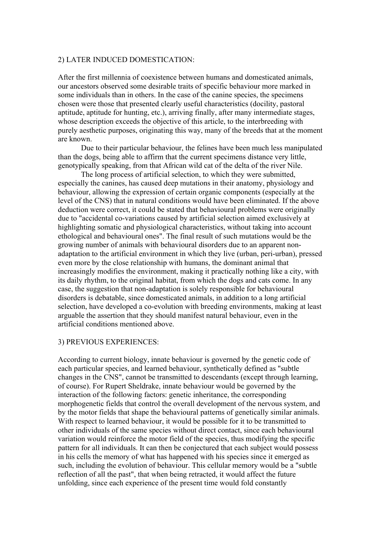#### 2) LATER INDUCED DOMESTICATION:

After the first millennia of coexistence between humans and domesticated animals, our ancestors observed some desirable traits of specific behaviour more marked in some individuals than in others. In the case of the canine species, the specimens chosen were those that presented clearly useful characteristics (docility, pastoral aptitude, aptitude for hunting, etc.), arriving finally, after many intermediate stages, whose description exceeds the objective of this article, to the interbreeding with purely aesthetic purposes, originating this way, many of the breeds that at the moment are known.

Due to their particular behaviour, the felines have been much less manipulated than the dogs, being able to affirm that the current specimens distance very little, genotypically speaking, from that African wild cat of the delta of the river Nile.

The long process of artificial selection, to which they were submitted, especially the canines, has caused deep mutations in their anatomy, physiology and behaviour, allowing the expression of certain organic components (especially at the level of the CNS) that in natural conditions would have been eliminated. If the above deduction were correct, it could be stated that behavioural problems were originally due to "accidental co-variations caused by artificial selection aimed exclusively at highlighting somatic and physiological characteristics, without taking into account ethological and behavioural ones". The final result of such mutations would be the growing number of animals with behavioural disorders due to an apparent nonadaptation to the artificial environment in which they live (urban, peri-urban), pressed even more by the close relationship with humans, the dominant animal that increasingly modifies the environment, making it practically nothing like a city, with its daily rhythm, to the original habitat, from which the dogs and cats come. In any case, the suggestion that non-adaptation is solely responsible for behavioural disorders is debatable, since domesticated animals, in addition to a long artificial selection, have developed a co-evolution with breeding environments, making at least arguable the assertion that they should manifest natural behaviour, even in the artificial conditions mentioned above.

#### 3) PREVIOUS EXPERIENCES:

According to current biology, innate behaviour is governed by the genetic code of each particular species, and learned behaviour, synthetically defined as "subtle changes in the CNS", cannot be transmitted to descendants (except through learning, of course). For Rupert Sheldrake, innate behaviour would be governed by the interaction of the following factors: genetic inheritance, the corresponding morphogenetic fields that control the overall development of the nervous system, and by the motor fields that shape the behavioural patterns of genetically similar animals. With respect to learned behaviour, it would be possible for it to be transmitted to other individuals of the same species without direct contact, since each behavioural variation would reinforce the motor field of the species, thus modifying the specific pattern for all individuals. It can then be conjectured that each subject would possess in his cells the memory of what has happened with his species since it emerged as such, including the evolution of behaviour. This cellular memory would be a "subtle reflection of all the past", that when being retracted, it would affect the future unfolding, since each experience of the present time would fold constantly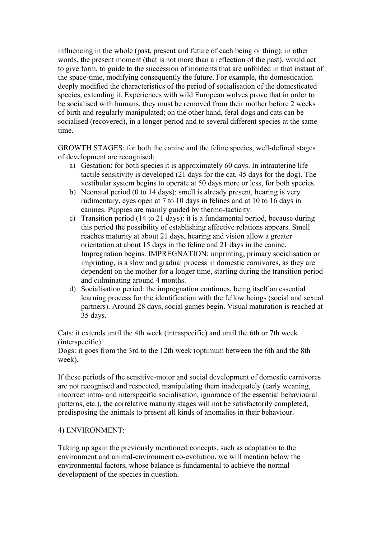influencing in the whole (past, present and future of each being or thing); in other words, the present moment (that is not more than a reflection of the past), would act to give form, to guide to the succession of moments that are unfolded in that instant of the space-time, modifying consequently the future. For example, the domestication deeply modified the characteristics of the period of socialisation of the domesticated species, extending it. Experiences with wild European wolves prove that in order to be socialised with humans, they must be removed from their mother before 2 weeks of birth and regularly manipulated; on the other hand, feral dogs and cats can be socialised (recovered), in a longer period and to several different species at the same time.

GROWTH STAGES: for both the canine and the feline species, well-defined stages of development are recognised:

- a) Gestation: for both species it is approximately 60 days. In intrauterine life tactile sensitivity is developed (21 days for the cat, 45 days for the dog). The vestibular system begins to operate at 50 days more or less, for both species.
- b) Neonatal period (0 to 14 days): smell is already present, hearing is very rudimentary, eyes open at 7 to 10 days in felines and at 10 to 16 days in canines. Puppies are mainly guided by thermo-tacticity.
- c) Transition period (14 to 21 days): it is a fundamental period, because during this period the possibility of establishing affective relations appears. Smell reaches maturity at about 21 days, hearing and vision allow a greater orientation at about 15 days in the feline and 21 days in the canine. Impregnation begins. IMPREGNATION: imprinting, primary socialisation or imprinting, is a slow and gradual process in domestic carnivores, as they are dependent on the mother for a longer time, starting during the transition period and culminating around 4 months.
- d) Socialisation period: the impregnation continues, being itself an essential learning process for the identification with the fellow beings (social and sexual partners). Around 28 days, social games begin. Visual maturation is reached at 35 days.

Cats: it extends until the 4th week (intraspecific) and until the 6th or 7th week (interspecific).

Dogs: it goes from the 3rd to the 12th week (optimum between the 6th and the 8th week).

If these periods of the sensitive-motor and social development of domestic carnivores are not recognised and respected, manipulating them inadequately (early weaning, incorrect intra- and interspecific socialisation, ignorance of the essential behavioural patterns, etc.), the correlative maturity stages will not be satisfactorily completed, predisposing the animals to present all kinds of anomalies in their behaviour.

### 4) ENVIRONMENT:

Taking up again the previously mentioned concepts, such as adaptation to the environment and animal-environment co-evolution, we will mention below the environmental factors, whose balance is fundamental to achieve the normal development of the species in question.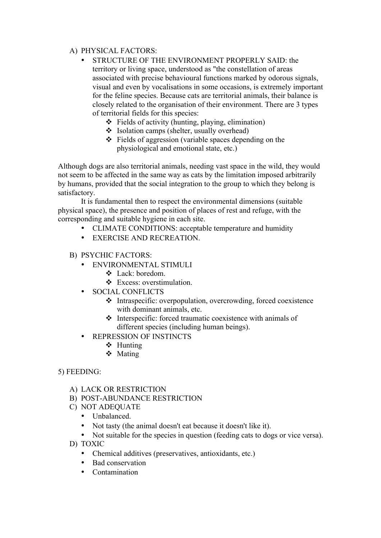# A) PHYSICAL FACTORS:

- STRUCTURE OF THE ENVIRONMENT PROPERLY SAID: the territory or living space, understood as "the constellation of areas associated with precise behavioural functions marked by odorous signals, visual and even by vocalisations in some occasions, is extremely important for the feline species. Because cats are territorial animals, their balance is closely related to the organisation of their environment. There are 3 types of territorial fields for this species:
	- $\div$  Fields of activity (hunting, playing, elimination)
	- ❖ Isolation camps (shelter, usually overhead)
	- $\div$  Fields of aggression (variable spaces depending on the physiological and emotional state, etc.)

Although dogs are also territorial animals, needing vast space in the wild, they would not seem to be affected in the same way as cats by the limitation imposed arbitrarily by humans, provided that the social integration to the group to which they belong is satisfactory.

It is fundamental then to respect the environmental dimensions (suitable physical space), the presence and position of places of rest and refuge, with the corresponding and suitable hygiene in each site.

- CLIMATE CONDITIONS: acceptable temperature and humidity
- EXERCISE AND RECREATION.
- B) PSYCHIC FACTORS:
	- ENVIRONMENTAL STIMULI
		- ❖ Lack: boredom.
		- ❖ Excess: overstimulation.
	- SOCIAL CONFLICTS
		- $\triangle$  Intraspecific: overpopulation, overcrowding, forced coexistence with dominant animals, etc.
		- $\triangle$  Interspecific: forced traumatic coexistence with animals of different species (including human beings).
	- REPRESSION OF INSTINCTS
		- $\div$  Hunting
		- ❖ Mating

# 5) FEEDING:

- A) LACK OR RESTRICTION
- B) POST-ABUNDANCE RESTRICTION
- C) NOT ADEQUATE
	- Unbalanced.
	- Not tasty (the animal doesn't eat because it doesn't like it).
	- Not suitable for the species in question (feeding cats to dogs or vice versa).
- D) TOXIC
	- Chemical additives (preservatives, antioxidants, etc.)
	- Bad conservation
	- Contamination